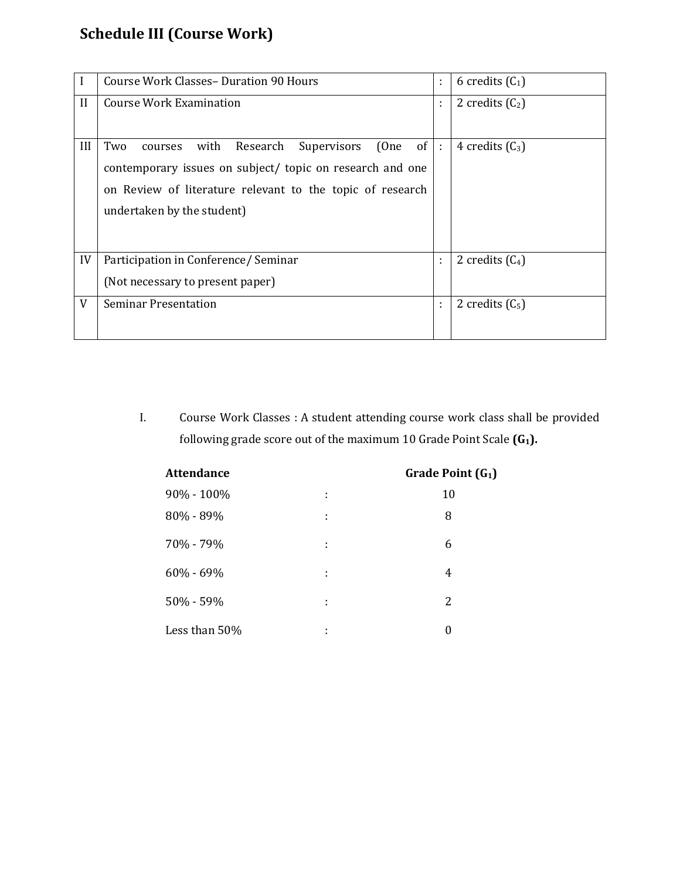## **Schedule III (Course Work)**

|              | Course Work Classes - Duration 90 Hours                         | ÷ | 6 credits $(C_1)$ |
|--------------|-----------------------------------------------------------------|---|-------------------|
| $\mathbf{I}$ | Course Work Examination                                         |   | 2 credits $(C_2)$ |
|              |                                                                 |   |                   |
| III          | Two<br>Research<br>(One<br>of<br>Supervisors<br>with<br>courses | ÷ | 4 credits $(C_3)$ |
|              | contemporary issues on subject/ topic on research and one       |   |                   |
|              | on Review of literature relevant to the topic of research       |   |                   |
|              | undertaken by the student)                                      |   |                   |
|              |                                                                 |   |                   |
|              |                                                                 |   |                   |
| IV           | Participation in Conference/ Seminar                            | ÷ | 2 credits $(C_4)$ |
|              | (Not necessary to present paper)                                |   |                   |
| V            | <b>Seminar Presentation</b>                                     | ÷ | 2 credits $(C_5)$ |
|              |                                                                 |   |                   |

I. Course Work Classes : A student attending course work class shall be provided following grade score out of the maximum 10 Grade Point Scale **(G1).**

| <b>Attendance</b> | Grade Point (G <sub>1</sub> ) |          |
|-------------------|-------------------------------|----------|
| $90\% - 100\%$    | ÷                             | 10       |
| 80% - 89%         | ÷                             | 8        |
| 70% - 79%         | ÷                             | 6        |
| $60\% - 69\%$     | ÷                             | 4        |
| 50% - 59%         | ÷                             | 2        |
| Less than 50%     | ٠<br>$\blacksquare$           | $\theta$ |